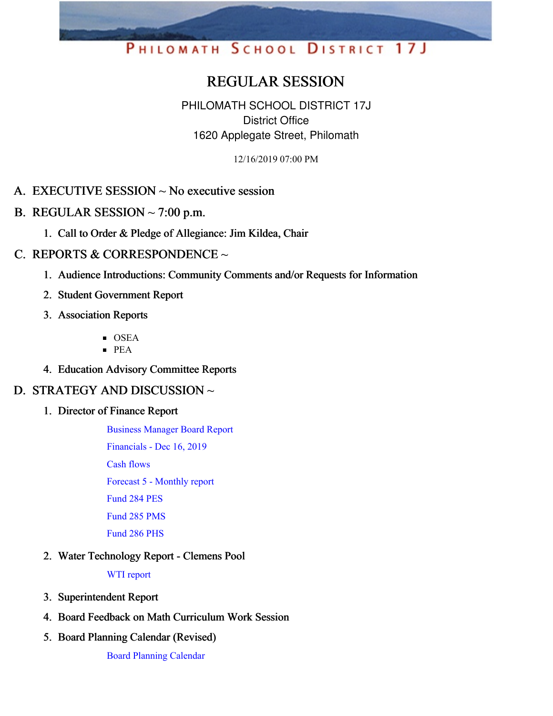# PHILOMATH SCHOOL DISTRICT 17J

# REGULAR SESSION

PHILOMATH SCHOOL DISTRICT 17J District Office 1620 Applegate Street, Philomath

12/16/2019 07:00 PM

# A. EXECUTIVE SESSION ~ No executive session

- B. REGULAR SESSION  $\sim$  7:00 p.m.
	- 1. Call to Order & Pledge of Allegiance: Jim Kildea, Chair

#### C. REPORTS & CORRESPONDENCE  $\sim$

- 1. Audience Introductions: Community Comments and/or Requests for Information
- 2. Student Government Report
- 3. Association Reports
	- **OSEA**
	- $PFA$
- 4. Education Advisory Committee Reports

### D. STRATEGY AND DISCUSSION ~

1. Director of Finance Report

[Business](https://app.eduportal.com/documents/view/736925) Manager Board Report [Financials](https://app.eduportal.com/documents/view/737010) - Dec 16, 2019

Cash [flows](https://app.eduportal.com/documents/view/736934)

Forecast 5 - [Monthly](https://app.eduportal.com/documents/view/737272) report

[Fund](https://app.eduportal.com/documents/view/736931) 284 PES

[Fund](https://app.eduportal.com/documents/view/736928) 285 PMS

[Fund](https://app.eduportal.com/documents/view/736933) 286 PHS

2. Water Technology Report - Clemens Pool

WTI [report](https://app.eduportal.com/documents/view/737258)

- 3. Superintendent Report
- 4. Board Feedback on Math Curriculum Work Session
- 5. Board Planning Calendar (Revised)

Board [Planning](https://app.eduportal.com/documents/view/737287) Calendar